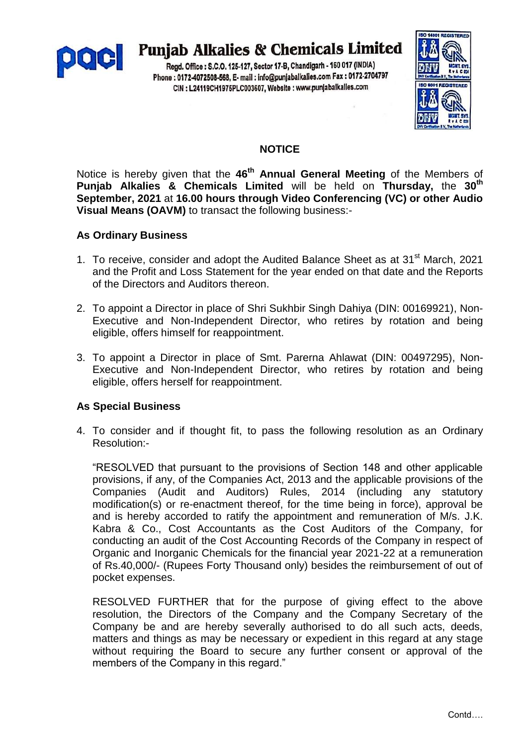

# **Punjab Alkalies & Chemicals Limited**

Regd. Office: S.C.O. 125-127, Sector 17-B, Chandigarh - 160 017 (INDIA) Phone: 0172-4072508-568, E- mail: info@punjabalkalies.com Fax: 0172-2704797 CIN : L24119CH1975PLC003607, Website : www.punjabalkalies.com



# **NOTICE**

Notice is hereby given that the **46 th Annual General Meeting** of the Members of **Punjab Alkalies & Chemicals Limited** will be held on **Thursday,** the **30th September, 2021** at **16.00 hours through Video Conferencing (VC) or other Audio Visual Means (OAVM)** to transact the following business:-

# **As Ordinary Business**

- 1. To receive, consider and adopt the Audited Balance Sheet as at 31<sup>st</sup> March, 2021 and the Profit and Loss Statement for the year ended on that date and the Reports of the Directors and Auditors thereon.
- 2. To appoint a Director in place of Shri Sukhbir Singh Dahiya (DIN: 00169921), Non-Executive and Non-Independent Director, who retires by rotation and being eligible, offers himself for reappointment.
- 3. To appoint a Director in place of Smt. Parerna Ahlawat (DIN: 00497295), Non-Executive and Non-Independent Director, who retires by rotation and being eligible, offers herself for reappointment.

# **As Special Business**

4. To consider and if thought fit, to pass the following resolution as an Ordinary Resolution:-

"RESOLVED that pursuant to the provisions of Section 148 and other applicable provisions, if any, of the Companies Act, 2013 and the applicable provisions of the Companies (Audit and Auditors) Rules, 2014 (including any statutory modification(s) or re-enactment thereof, for the time being in force), approval be and is hereby accorded to ratify the appointment and remuneration of M/s. J.K. Kabra & Co., Cost Accountants as the Cost Auditors of the Company, for conducting an audit of the Cost Accounting Records of the Company in respect of Organic and Inorganic Chemicals for the financial year 2021-22 at a remuneration of Rs.40,000/- (Rupees Forty Thousand only) besides the reimbursement of out of pocket expenses.

RESOLVED FURTHER that for the purpose of giving effect to the above resolution, the Directors of the Company and the Company Secretary of the Company be and are hereby severally authorised to do all such acts, deeds, matters and things as may be necessary or expedient in this regard at any stage without requiring the Board to secure any further consent or approval of the members of the Company in this regard."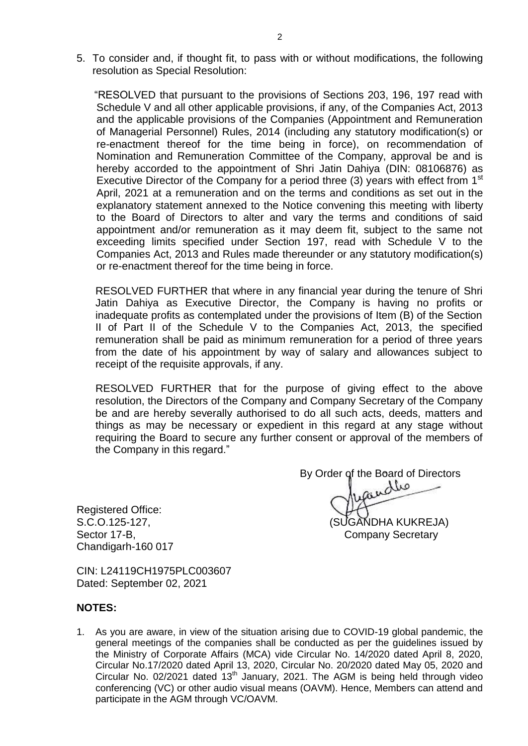5. To consider and, if thought fit, to pass with or without modifications, the following resolution as Special Resolution:

 "RESOLVED that pursuant to the provisions of Sections 203, 196, 197 read with Schedule V and all other applicable provisions, if any, of the Companies Act, 2013 and the applicable provisions of the Companies (Appointment and Remuneration of Managerial Personnel) Rules, 2014 (including any statutory modification(s) or re-enactment thereof for the time being in force), on recommendation of Nomination and Remuneration Committee of the Company, approval be and is hereby accorded to the appointment of Shri Jatin Dahiya (DIN: 08106876) as Executive Director of the Company for a period three (3) years with effect from  $1<sup>st</sup>$ April, 2021 at a remuneration and on the terms and conditions as set out in the explanatory statement annexed to the Notice convening this meeting with liberty to the Board of Directors to alter and vary the terms and conditions of said appointment and/or remuneration as it may deem fit, subject to the same not exceeding limits specified under Section 197, read with Schedule V to the Companies Act, 2013 and Rules made thereunder or any statutory modification(s) or re-enactment thereof for the time being in force.

RESOLVED FURTHER that where in any financial year during the tenure of Shri Jatin Dahiya as Executive Director, the Company is having no profits or inadequate profits as contemplated under the provisions of Item (B) of the Section II of Part II of the Schedule V to the Companies Act, 2013, the specified remuneration shall be paid as minimum remuneration for a period of three years from the date of his appointment by way of salary and allowances subject to receipt of the requisite approvals, if any.

RESOLVED FURTHER that for the purpose of giving effect to the above resolution, the Directors of the Company and Company Secretary of the Company be and are hereby severally authorised to do all such acts, deeds, matters and things as may be necessary or expedient in this regard at any stage without requiring the Board to secure any further consent or approval of the members of the Company in this regard."

By Order of the Board of Directors S.C.O.125-127, (SUGANDHA KUKREJA)

Registered Office: Sector 17-B, Company Secretary Company Secretary Chandigarh-160 017

CIN: L24119CH1975PLC003607 Dated: September 02, 2021

## **NOTES:**

1. As you are aware, in view of the situation arising due to COVID-19 global pandemic, the general meetings of the companies shall be conducted as per the guidelines issued by the Ministry of Corporate Affairs (MCA) vide Circular No. 14/2020 dated April 8, 2020, Circular No.17/2020 dated April 13, 2020, Circular No. 20/2020 dated May 05, 2020 and Circular No. 02/2021 dated 13<sup>th</sup> January, 2021. The AGM is being held through video conferencing (VC) or other audio visual means (OAVM). Hence, Members can attend and participate in the AGM through VC/OAVM.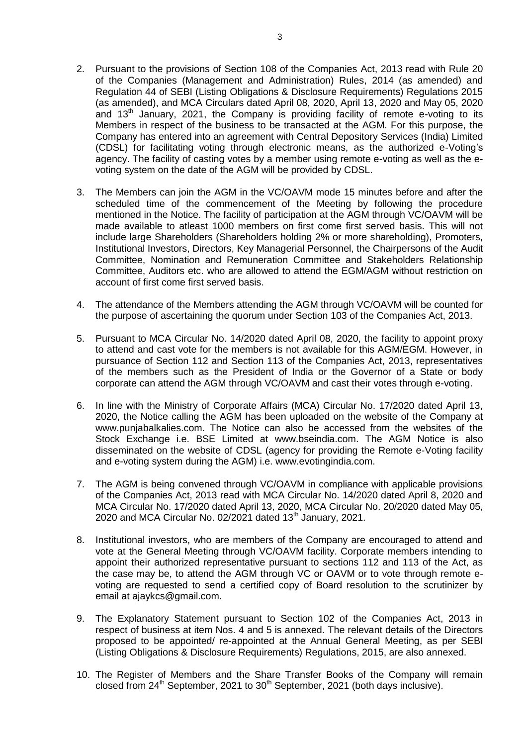- 2. Pursuant to the provisions of Section 108 of the Companies Act, 2013 read with Rule 20 of the Companies (Management and Administration) Rules, 2014 (as amended) and Regulation 44 of SEBI (Listing Obligations & Disclosure Requirements) Regulations 2015 (as amended), and MCA Circulars dated April 08, 2020, April 13, 2020 and May 05, 2020 and  $13<sup>th</sup>$  January, 2021, the Company is providing facility of remote e-voting to its Members in respect of the business to be transacted at the AGM. For this purpose, the Company has entered into an agreement with Central Depository Services (India) Limited (CDSL) for facilitating voting through electronic means, as the authorized e-Voting"s agency. The facility of casting votes by a member using remote e-voting as well as the evoting system on the date of the AGM will be provided by CDSL.
- 3. The Members can join the AGM in the VC/OAVM mode 15 minutes before and after the scheduled time of the commencement of the Meeting by following the procedure mentioned in the Notice. The facility of participation at the AGM through VC/OAVM will be made available to atleast 1000 members on first come first served basis. This will not include large Shareholders (Shareholders holding 2% or more shareholding), Promoters, Institutional Investors, Directors, Key Managerial Personnel, the Chairpersons of the Audit Committee, Nomination and Remuneration Committee and Stakeholders Relationship Committee, Auditors etc. who are allowed to attend the EGM/AGM without restriction on account of first come first served basis.
- 4. The attendance of the Members attending the AGM through VC/OAVM will be counted for the purpose of ascertaining the quorum under Section 103 of the Companies Act, 2013.
- 5. Pursuant to MCA Circular No. 14/2020 dated April 08, 2020, the facility to appoint proxy to attend and cast vote for the members is not available for this AGM/EGM. However, in pursuance of Section 112 and Section 113 of the Companies Act, 2013, representatives of the members such as the President of India or the Governor of a State or body corporate can attend the AGM through VC/OAVM and cast their votes through e-voting.
- 6. In line with the Ministry of Corporate Affairs (MCA) Circular No. 17/2020 dated April 13, 2020, the Notice calling the AGM has been uploaded on the website of the Company at www.punjabalkalies.com. The Notice can also be accessed from the websites of the Stock Exchange i.e. BSE Limited at www.bseindia.com. The AGM Notice is also disseminated on the website of CDSL (agency for providing the Remote e-Voting facility and e-voting system during the AGM) i.e. www.evotingindia.com.
- 7. The AGM is being convened through VC/OAVM in compliance with applicable provisions of the Companies Act, 2013 read with MCA Circular No. 14/2020 dated April 8, 2020 and MCA Circular No. 17/2020 dated April 13, 2020, MCA Circular No. 20/2020 dated May 05, 2020 and MCA Circular No. 02/2021 dated  $13<sup>th</sup>$  January, 2021.
- 8. Institutional investors, who are members of the Company are encouraged to attend and vote at the General Meeting through VC/OAVM facility. Corporate members intending to appoint their authorized representative pursuant to sections 112 and 113 of the Act, as the case may be, to attend the AGM through VC or OAVM or to vote through remote evoting are requested to send a certified copy of Board resolution to the scrutinizer by email at ajaykcs@gmail.com.
- 9. The Explanatory Statement pursuant to Section 102 of the Companies Act, 2013 in respect of business at item Nos. 4 and 5 is annexed. The relevant details of the Directors proposed to be appointed/ re-appointed at the Annual General Meeting, as per SEBI (Listing Obligations & Disclosure Requirements) Regulations, 2015, are also annexed.
- 10. The Register of Members and the Share Transfer Books of the Company will remain closed from 24<sup>th</sup> September, 2021 to 30<sup>th</sup> September, 2021 (both days inclusive).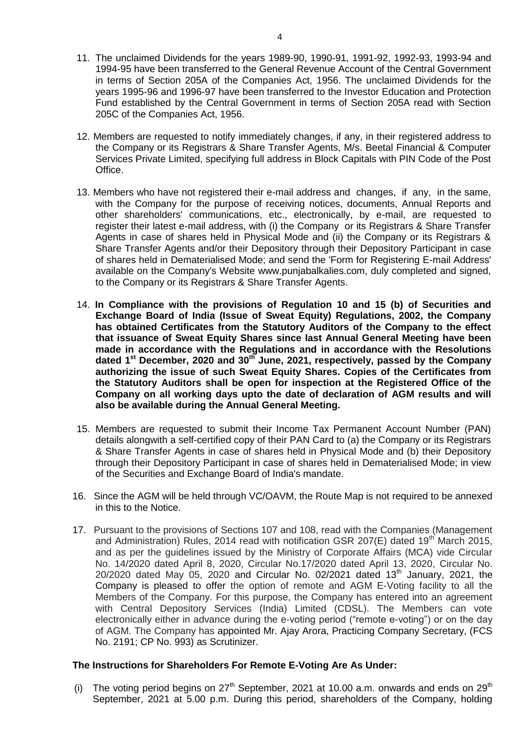- 11. The unclaimed Dividends for the years 1989-90, 1990-91, 1991-92, 1992-93, 1993-94 and 1994-95 have been transferred to the General Revenue Account of the Central Government in terms of Section 205A of the Companies Act, 1956. The unclaimed Dividends for the years 1995-96 and 1996-97 have been transferred to the Investor Education and Protection Fund established by the Central Government in terms of Section 205A read with Section 205C of the Companies Act, 1956.
- 12. Members are requested to notify immediately changes, if any, in their registered address to the Company or its Registrars & Share Transfer Agents, M/s. Beetal Financial & Computer Services Private Limited, specifying full address in Block Capitals with PIN Code of the Post Office.
- 13. Members who have not registered their e-mail address and changes, if any, in the same, with the Company for the purpose of receiving notices, documents, Annual Reports and other shareholders' communications, etc., electronically, by e-mail, are requested to register their latest e-mail address, with (i) the Company or its Registrars & Share Transfer Agents in case of shares held in Physical Mode and (ii) the Company or its Registrars & Share Transfer Agents and/or their Depository through their Depository Participant in case of shares held in Dematerialised Mode; and send the 'Form for Registering E-mail Address' available on the Company's Website www.punjabalkalies.com, duly completed and signed, to the Company or its Registrars & Share Transfer Agents.
- 14. **In Compliance with the provisions of Regulation 10 and 15 (b) of Securities and Exchange Board of India (Issue of Sweat Equity) Regulations, 2002, the Company has obtained Certificates from the Statutory Auditors of the Company to the effect that issuance of Sweat Equity Shares since last Annual General Meeting have been made in accordance with the Regulations and in accordance with the Resolutions dated 1st December, 2020 and 30th June, 2021, respectively, passed by the Company authorizing the issue of such Sweat Equity Shares. Copies of the Certificates from the Statutory Auditors shall be open for inspection at the Registered Office of the Company on all working days upto the date of declaration of AGM results and will also be available during the Annual General Meeting.**
- 15. Members are requested to submit their Income Tax Permanent Account Number (PAN) details alongwith a self-certified copy of their PAN Card to (a) the Company or its Registrars & Share Transfer Agents in case of shares held in Physical Mode and (b) their Depository through their Depository Participant in case of shares held in Dematerialised Mode; in view of the Securities and Exchange Board of India's mandate.
- 16. Since the AGM will be held through VC/OAVM, the Route Map is not required to be annexed in this to the Notice.
- 17. Pursuant to the provisions of Sections 107 and 108, read with the Companies (Management and Administration) Rules, 2014 read with notification GSR 207(E) dated 19<sup>th</sup> March 2015, and as per the guidelines issued by the Ministry of Corporate Affairs (MCA) vide Circular No. 14/2020 dated April 8, 2020, Circular No.17/2020 dated April 13, 2020, Circular No.  $20/2020$  dated May 05, 2020 and Circular No. 02/2021 dated 13<sup>th</sup> January, 2021, the Company is pleased to offer the option of remote and AGM E-Voting facility to all the Members of the Company. For this purpose, the Company has entered into an agreement with Central Depository Services (India) Limited (CDSL). The Members can vote electronically either in advance during the e-voting period ("remote e-voting") or on the day of AGM. The Company has appointed Mr. Ajay Arora, Practicing Company Secretary, (FCS No. 2191; CP No. 993) as Scrutinizer.

## **The Instructions for Shareholders For Remote E-Voting Are As Under:**

(i) The voting period begins on  $27<sup>th</sup>$  September, 2021 at 10.00 a.m. onwards and ends on  $29<sup>th</sup>$ September, 2021 at 5.00 p.m. During this period, shareholders of the Company, holding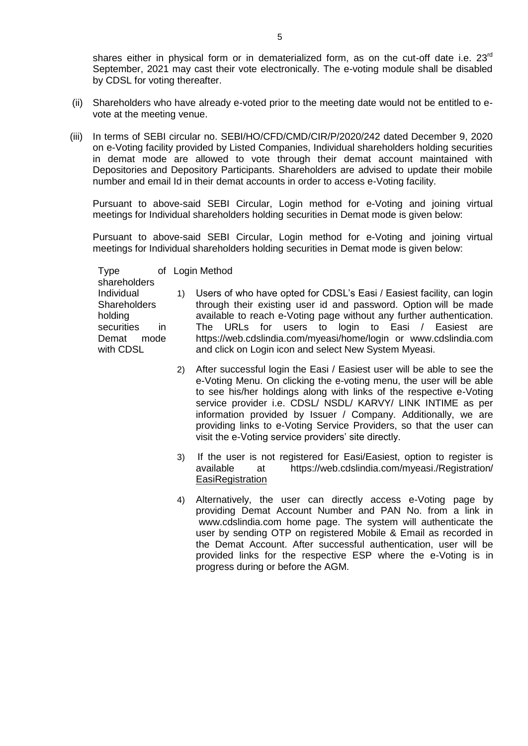shares either in physical form or in dematerialized form, as on the cut-off date i.e. 23<sup>rd</sup> September, 2021 may cast their vote electronically. The e-voting module shall be disabled by CDSL for voting thereafter.

- (ii) Shareholders who have already e-voted prior to the meeting date would not be entitled to evote at the meeting venue.
- (iii) In terms of SEBI circular no. SEBI/HO/CFD/CMD/CIR/P/2020/242 dated December 9, 2020 on e-Voting facility provided by Listed Companies, Individual shareholders holding securities in demat mode are allowed to vote through their demat account maintained with Depositories and Depository Participants. Shareholders are advised to update their mobile number and email Id in their demat accounts in order to access e-Voting facility.

Pursuant to above-said SEBI Circular, Login method for e-Voting and joining virtual meetings for Individual shareholders holding securities in Demat mode is given below:

Pursuant to above-said SEBI Circular, Login method for e-Voting and joining virtual meetings for Individual shareholders holding securities in Demat mode is given below:

Type shareholders Login Method Individual **Shareholders** holding securities in Demat mode with CDSL

- 1) Users of who have opted for CDSL"s Easi / Easiest facility, can login through their existing user id and password. Option will be made available to reach e-Voting page without any further authentication. The URLs for users to login to Easi / Easiest are https://web.cdslindia.com/myeasi/home/login or www.cdslindia.com and click on Login icon and select New System Myeasi.
	- 2) After successful login the Easi / Easiest user will be able to see the e-Voting Menu. On clicking the e-voting menu, the user will be able to see his/her holdings along with links of the respective e-Voting service provider i.e. CDSL/ NSDL/ KARVY/ LINK INTIME as per information provided by Issuer / Company. Additionally, we are providing links to e-Voting Service Providers, so that the user can visit the e-Voting service providers' site directly.
	- 3) If the user is not registered for Easi/Easiest, option to register is available at https://web.cdslindia.com/myeasi./Registration/ **EasiRegistration**
	- 4) Alternatively, the user can directly access e-Voting page by providing Demat Account Number and PAN No. from a link in www.cdslindia.com home page. The system will authenticate the user by sending OTP on registered Mobile & Email as recorded in the Demat Account. After successful authentication, user will be provided links for the respective ESP where the e-Voting is in progress during or before the AGM.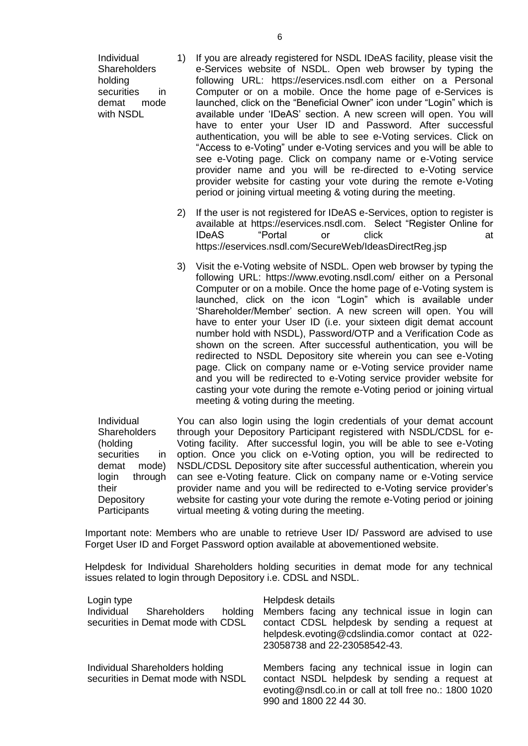Individual **Shareholders** holding securities in demat mode with NSDL

- 1) If you are already registered for NSDL IDeAS facility, please visit the e-Services website of NSDL. Open web browser by typing the following URL: https://eservices.nsdl.com either on a Personal Computer or on a mobile. Once the home page of e-Services is launched, click on the "Beneficial Owner" icon under "Login" which is available under "IDeAS" section. A new screen will open. You will have to enter your User ID and Password. After successful authentication, you will be able to see e-Voting services. Click on "Access to e-Voting" under e-Voting services and you will be able to see e-Voting page. Click on company name or e-Voting service provider name and you will be re-directed to e-Voting service provider website for casting your vote during the remote e-Voting period or joining virtual meeting & voting during the meeting.
- 2) If the user is not registered for IDeAS e-Services, option to register is available at https://eservices.nsdl.com. Select "Register Online for IDeAS "Portal or click at https://eservices.nsdl.com/SecureWeb/IdeasDirectReg.jsp
- 3) Visit the e-Voting website of NSDL. Open web browser by typing the following URL: https://www.evoting.nsdl.com/ either on a Personal Computer or on a mobile. Once the home page of e-Voting system is launched, click on the icon "Login" which is available under "Shareholder/Member" section. A new screen will open. You will have to enter your User ID (i.e. your sixteen digit demat account number hold with NSDL), Password/OTP and a Verification Code as shown on the screen. After successful authentication, you will be redirected to NSDL Depository site wherein you can see e-Voting page. Click on company name or e-Voting service provider name and you will be redirected to e-Voting service provider website for casting your vote during the remote e-Voting period or joining virtual meeting & voting during the meeting.

Individual **Shareholders** (holding securities in demat mode) login through their **Depository Participants** You can also login using the login credentials of your demat account through your Depository Participant registered with NSDL/CDSL for e-Voting facility. After successful login, you will be able to see e-Voting option. Once you click on e-Voting option, you will be redirected to NSDL/CDSL Depository site after successful authentication, wherein you can see e-Voting feature. Click on company name or e-Voting service provider name and you will be redirected to e-Voting service provider"s website for casting your vote during the remote e-Voting period or joining virtual meeting & voting during the meeting.

Important note: Members who are unable to retrieve User ID/ Password are advised to use Forget User ID and Forget Password option available at abovementioned website.

Helpdesk for Individual Shareholders holding securities in demat mode for any technical issues related to login through Depository i.e. CDSL and NSDL.

| Login type<br>Individual Shareholders<br>holding<br>securities in Demat mode with CDSL | Helpdesk details<br>Members facing any technical issue in login can<br>contact CDSL helpdesk by sending a request at<br>helpdesk.evoting@cdslindia.comor contact at 022-<br>23058738 and 22-23058542-43. |
|----------------------------------------------------------------------------------------|----------------------------------------------------------------------------------------------------------------------------------------------------------------------------------------------------------|
| Individual Shareholders holding<br>securities in Demat mode with NSDL                  | Members facing any technical issue in login can<br>contact NSDL helpdesk by sending a request at<br>evoting@nsdl.co.in or call at toll free no.: 1800 1020<br>990 and 1800 22 44 30.                     |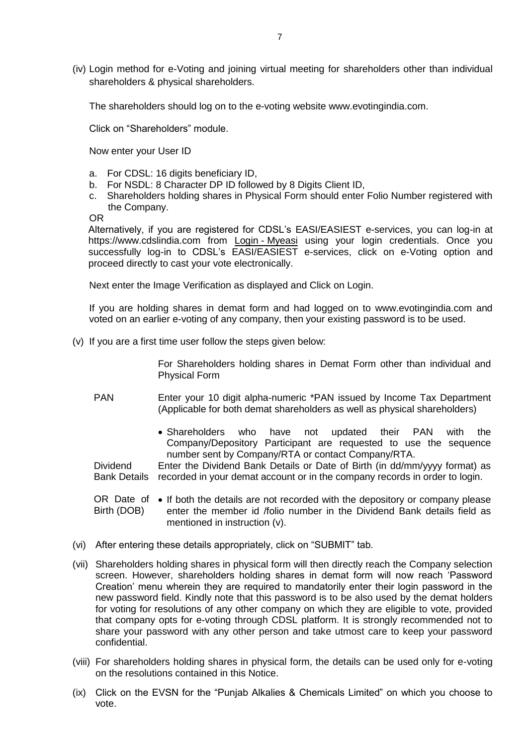(iv) Login method for e-Voting and joining virtual meeting for shareholders other than individual shareholders & physical shareholders.

The shareholders should log on to the e-voting website www.evotingindia.com.

Click on "Shareholders" module.

Now enter your User ID

- a. For CDSL: 16 digits beneficiary ID,
- b. For NSDL: 8 Character DP ID followed by 8 Digits Client ID,
- c. Shareholders holding shares in Physical Form should enter Folio Number registered with the Company.

OR

Alternatively, if you are registered for CDSL"s EASI/EASIEST e-services, you can log-in at https://www.cdslindia.com from Login - [Myeasi](file:///C:/Users/Sugandha/AppData/Local/Microsoft/Windows/Sugandha/Desktop/EOGM/Login - Myeasi) using your login credentials. Once you successfully log-in to CDSL's EASI/EASIEST e-services, click on e-Voting option and proceed directly to cast your vote electronically.

Next enter the Image Verification as displayed and Click on Login.

If you are holding shares in demat form and had logged on to www.evotingindia.com and voted on an earlier e-voting of any company, then your existing password is to be used.

(v) If you are a first time user follow the steps given below:

For Shareholders holding shares in Demat Form other than individual and Physical Form

- PAN Enter your 10 digit alpha-numeric \*PAN issued by Income Tax Department (Applicable for both demat shareholders as well as physical shareholders)
	- Shareholders who have not updated their PAN with the Company/Depository Participant are requested to use the sequence number sent by Company/RTA or contact Company/RTA.

**Dividend** Bank Details recorded in your demat account or in the company records in order to login. Enter the Dividend Bank Details or Date of Birth (in dd/mm/yyyy format) as

OR Date of • If both the details are not recorded with the depository or company please Birth (DOB) enter the member id /folio number in the Dividend Bank details field as mentioned in instruction (v).

- (vi) After entering these details appropriately, click on "SUBMIT" tab.
- (vii) Shareholders holding shares in physical form will then directly reach the Company selection screen. However, shareholders holding shares in demat form will now reach "Password Creation" menu wherein they are required to mandatorily enter their login password in the new password field. Kindly note that this password is to be also used by the demat holders for voting for resolutions of any other company on which they are eligible to vote, provided that company opts for e-voting through CDSL platform. It is strongly recommended not to share your password with any other person and take utmost care to keep your password confidential.
- (viii) For shareholders holding shares in physical form, the details can be used only for e-voting on the resolutions contained in this Notice.
- (ix) Click on the EVSN for the "Punjab Alkalies & Chemicals Limited" on which you choose to vote.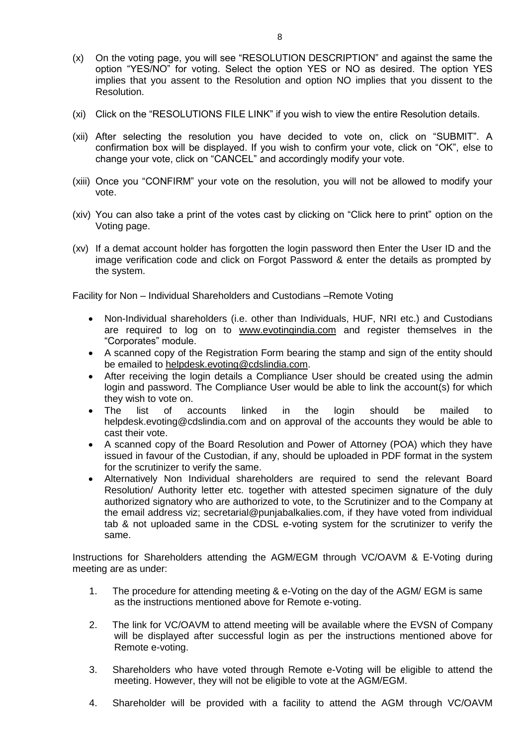- (x) On the voting page, you will see "RESOLUTION DESCRIPTION" and against the same the option "YES/NO" for voting. Select the option YES or NO as desired. The option YES implies that you assent to the Resolution and option NO implies that you dissent to the Resolution.
- (xi) Click on the "RESOLUTIONS FILE LINK" if you wish to view the entire Resolution details.
- (xii) After selecting the resolution you have decided to vote on, click on "SUBMIT". A confirmation box will be displayed. If you wish to confirm your vote, click on "OK", else to change your vote, click on "CANCEL" and accordingly modify your vote.
- (xiii) Once you "CONFIRM" your vote on the resolution, you will not be allowed to modify your vote.
- (xiv) You can also take a print of the votes cast by clicking on "Click here to print" option on the Voting page.
- (xv) If a demat account holder has forgotten the login password then Enter the User ID and the image verification code and click on Forgot Password & enter the details as prompted by the system.

Facility for Non – Individual Shareholders and Custodians –Remote Voting

- Non-Individual shareholders (i.e. other than Individuals, HUF, NRI etc.) and Custodians are required to log on to [www.evotingindia.com](http://www.evotingindia.com/) and register themselves in the "Corporates" module.
- A scanned copy of the Registration Form bearing the stamp and sign of the entity should be emailed to [helpdesk.evoting@cdslindia.com.](mailto:helpdesk.evoting@cdslindia.com)
- After receiving the login details a Compliance User should be created using the admin login and password. The Compliance User would be able to link the account(s) for which they wish to vote on.
- The list of accounts linked in the login should be mailed to helpdesk.evoting@cdslindia.com and on approval of the accounts they would be able to cast their vote.
- A scanned copy of the Board Resolution and Power of Attorney (POA) which they have issued in favour of the Custodian, if any, should be uploaded in PDF format in the system for the scrutinizer to verify the same.
- Alternatively Non Individual shareholders are required to send the relevant Board Resolution/ Authority letter etc. together with attested specimen signature of the duly authorized signatory who are authorized to vote, to the Scrutinizer and to the Company at the email address viz; secretarial@punjabalkalies.com, if they have voted from individual tab & not uploaded same in the CDSL e-voting system for the scrutinizer to verify the same.

Instructions for Shareholders attending the AGM/EGM through VC/OAVM & E-Voting during meeting are as under:

- 1. The procedure for attending meeting & e-Voting on the day of the AGM/ EGM is same as the instructions mentioned above for Remote e-voting.
- 2. The link for VC/OAVM to attend meeting will be available where the EVSN of Company will be displayed after successful login as per the instructions mentioned above for Remote e-voting.
- 3. Shareholders who have voted through Remote e-Voting will be eligible to attend the meeting. However, they will not be eligible to vote at the AGM/EGM.
- 4. Shareholder will be provided with a facility to attend the AGM through VC/OAVM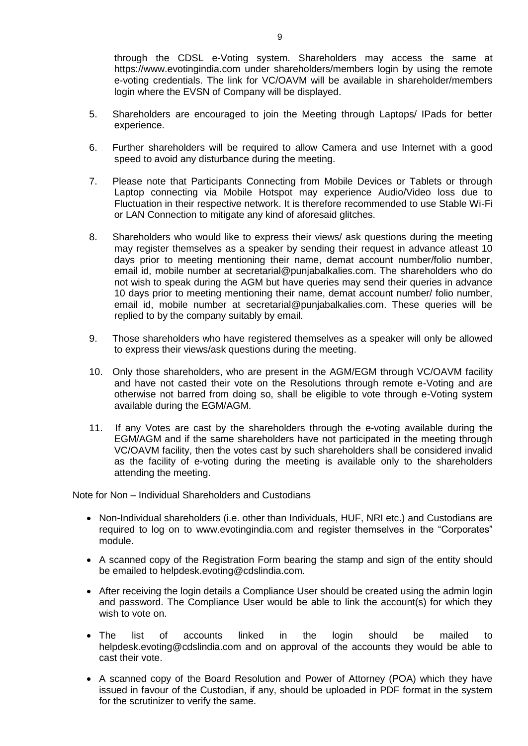through the CDSL e-Voting system. Shareholders may access the same at https://www.evotingindia.com under shareholders/members login by using the remote e-voting credentials. The link for VC/OAVM will be available in shareholder/members login where the EVSN of Company will be displayed.

- 5. Shareholders are encouraged to join the Meeting through Laptops/ IPads for better experience.
- 6. Further shareholders will be required to allow Camera and use Internet with a good speed to avoid any disturbance during the meeting.
- 7. Please note that Participants Connecting from Mobile Devices or Tablets or through Laptop connecting via Mobile Hotspot may experience Audio/Video loss due to Fluctuation in their respective network. It is therefore recommended to use Stable Wi-Fi or LAN Connection to mitigate any kind of aforesaid glitches.
- 8. Shareholders who would like to express their views/ ask questions during the meeting may register themselves as a speaker by sending their request in advance atleast 10 days prior to meeting mentioning their name, demat account number/folio number, email id, mobile number at secretarial@punjabalkalies.com. The shareholders who do not wish to speak during the AGM but have queries may send their queries in advance 10 days prior to meeting mentioning their name, demat account number/ folio number, email id, mobile number at secretarial@punjabalkalies.com. These queries will be replied to by the company suitably by email.
- 9. Those shareholders who have registered themselves as a speaker will only be allowed to express their views/ask questions during the meeting.
- 10. Only those shareholders, who are present in the AGM/EGM through VC/OAVM facility and have not casted their vote on the Resolutions through remote e-Voting and are otherwise not barred from doing so, shall be eligible to vote through e-Voting system available during the EGM/AGM.
- 11. If any Votes are cast by the shareholders through the e-voting available during the EGM/AGM and if the same shareholders have not participated in the meeting through VC/OAVM facility, then the votes cast by such shareholders shall be considered invalid as the facility of e-voting during the meeting is available only to the shareholders attending the meeting.

Note for Non – Individual Shareholders and Custodians

- Non-Individual shareholders (i.e. other than Individuals, HUF, NRI etc.) and Custodians are required to log on to www.evotingindia.com and register themselves in the "Corporates" module.
- A scanned copy of the Registration Form bearing the stamp and sign of the entity should be emailed to helpdesk.evoting@cdslindia.com.
- After receiving the login details a Compliance User should be created using the admin login and password. The Compliance User would be able to link the account(s) for which they wish to vote on.
- The list of accounts linked in the login should be mailed to helpdesk.evoting@cdslindia.com and on approval of the accounts they would be able to cast their vote.
- A scanned copy of the Board Resolution and Power of Attorney (POA) which they have issued in favour of the Custodian, if any, should be uploaded in PDF format in the system for the scrutinizer to verify the same.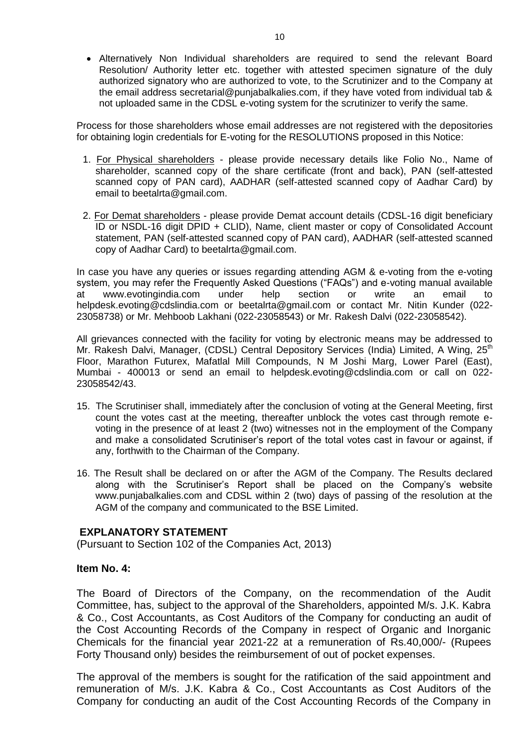• Alternatively Non Individual shareholders are required to send the relevant Board Resolution/ Authority letter etc. together with attested specimen signature of the duly authorized signatory who are authorized to vote, to the Scrutinizer and to the Company at the email address secretarial@punjabalkalies.com, if they have voted from individual tab & not uploaded same in the CDSL e-voting system for the scrutinizer to verify the same.

Process for those shareholders whose email addresses are not registered with the depositories for obtaining login credentials for E-voting for the RESOLUTIONS proposed in this Notice:

- 1. For Physical shareholders please provide necessary details like Folio No., Name of shareholder, scanned copy of the share certificate (front and back), PAN (self-attested scanned copy of PAN card), AADHAR (self-attested scanned copy of Aadhar Card) by email to beetalrta@gmail.com.
- 2. For Demat shareholders please provide Demat account details (CDSL-16 digit beneficiary ID or NSDL-16 digit DPID + CLID), Name, client master or copy of Consolidated Account statement, PAN (self-attested scanned copy of PAN card), AADHAR (self-attested scanned copy of Aadhar Card) to beetalrta@gmail.com.

In case you have any queries or issues regarding attending AGM & e-voting from the e-voting system, you may refer the Frequently Asked Questions ("FAQs") and e-voting manual available at www.evotingindia.com under help section or write an email to helpdesk.evoting@cdslindia.com or beetalrta@gmail.com or contact Mr. Nitin Kunder (022- 23058738) or Mr. Mehboob Lakhani (022-23058543) or Mr. Rakesh Dalvi (022-23058542).

All grievances connected with the facility for voting by electronic means may be addressed to Mr. Rakesh Dalvi, Manager, (CDSL) Central Depository Services (India) Limited, A Wing, 25<sup>th</sup> Floor, Marathon Futurex, Mafatlal Mill Compounds, N M Joshi Marg, Lower Parel (East), Mumbai - 400013 or send an email to helpdesk.evoting@cdslindia.com or call on 022- 23058542/43.

- 15. The Scrutiniser shall, immediately after the conclusion of voting at the General Meeting, first count the votes cast at the meeting, thereafter unblock the votes cast through remote evoting in the presence of at least 2 (two) witnesses not in the employment of the Company and make a consolidated Scrutiniser"s report of the total votes cast in favour or against, if any, forthwith to the Chairman of the Company.
- 16. The Result shall be declared on or after the AGM of the Company. The Results declared along with the Scrutiniser's Report shall be placed on the Company's website www.punjabalkalies.com and CDSL within 2 (two) days of passing of the resolution at the AGM of the company and communicated to the BSE Limited.

## **EXPLANATORY STATEMENT**

(Pursuant to Section 102 of the Companies Act, 2013)

## **Item No. 4:**

The Board of Directors of the Company, on the recommendation of the Audit Committee, has, subject to the approval of the Shareholders, appointed M/s. J.K. Kabra & Co., Cost Accountants, as Cost Auditors of the Company for conducting an audit of the Cost Accounting Records of the Company in respect of Organic and Inorganic Chemicals for the financial year 2021-22 at a remuneration of Rs.40,000/- (Rupees Forty Thousand only) besides the reimbursement of out of pocket expenses.

The approval of the members is sought for the ratification of the said appointment and remuneration of M/s. J.K. Kabra & Co., Cost Accountants as Cost Auditors of the Company for conducting an audit of the Cost Accounting Records of the Company in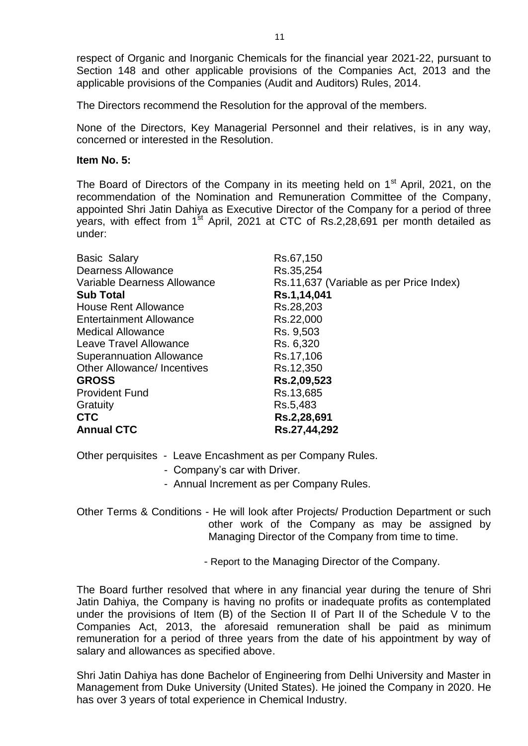respect of Organic and Inorganic Chemicals for the financial year 2021-22, pursuant to Section 148 and other applicable provisions of the Companies Act, 2013 and the applicable provisions of the Companies (Audit and Auditors) Rules, 2014.

The Directors recommend the Resolution for the approval of the members.

None of the Directors, Key Managerial Personnel and their relatives, is in any way, concerned or interested in the Resolution.

## **Item No. 5:**

The Board of Directors of the Company in its meeting held on 1<sup>st</sup> April, 2021, on the recommendation of the Nomination and Remuneration Committee of the Company, appointed Shri Jatin Dahiya as Executive Director of the Company for a period of three years, with effect from  $1<sup>st</sup>$  April, 2021 at CTC of Rs.2,28,691 per month detailed as under:

| <b>Basic Salary</b>                | Rs.67,150                               |
|------------------------------------|-----------------------------------------|
| <b>Dearness Allowance</b>          | Rs.35,254                               |
| Variable Dearness Allowance        | Rs.11,637 (Variable as per Price Index) |
| <b>Sub Total</b>                   | Rs.1,14,041                             |
| <b>House Rent Allowance</b>        | Rs.28,203                               |
| <b>Entertainment Allowance</b>     | Rs.22,000                               |
| <b>Medical Allowance</b>           | Rs. 9,503                               |
| Leave Travel Allowance             | Rs. 6,320                               |
| <b>Superannuation Allowance</b>    | Rs.17,106                               |
| <b>Other Allowance/ Incentives</b> | Rs.12,350                               |
| <b>GROSS</b>                       | Rs.2,09,523                             |
| <b>Provident Fund</b>              | Rs.13,685                               |
| Gratuity                           | Rs.5,483                                |
| <b>CTC</b>                         | Rs.2,28,691                             |
| <b>Annual CTC</b>                  | Rs.27,44,292                            |

Other perquisites - Leave Encashment as per Company Rules.

- Company"s car with Driver.
- Annual Increment as per Company Rules.

Other Terms & Conditions - He will look after Projects/ Production Department or such other work of the Company as may be assigned by Managing Director of the Company from time to time.

- Report to the Managing Director of the Company.

The Board further resolved that where in any financial year during the tenure of Shri Jatin Dahiya, the Company is having no profits or inadequate profits as contemplated under the provisions of Item (B) of the Section II of Part II of the Schedule V to the Companies Act, 2013, the aforesaid remuneration shall be paid as minimum remuneration for a period of three years from the date of his appointment by way of salary and allowances as specified above.

Shri Jatin Dahiya has done Bachelor of Engineering from Delhi University and Master in Management from Duke University (United States). He joined the Company in 2020. He has over 3 years of total experience in Chemical Industry.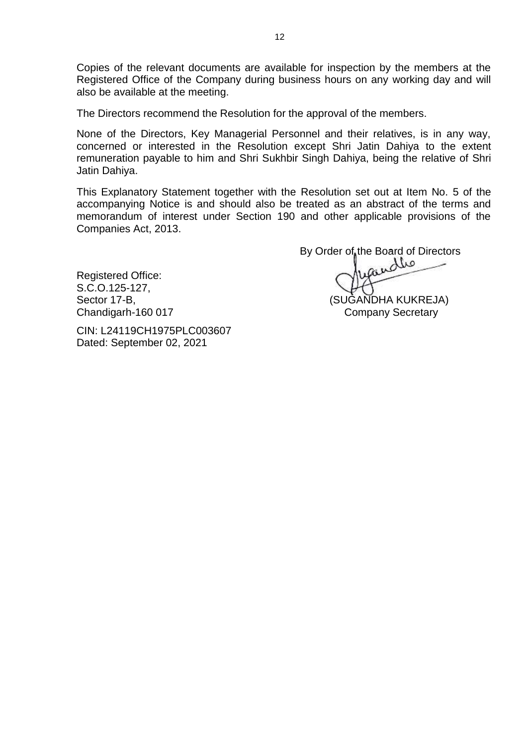Copies of the relevant documents are available for inspection by the members at the Registered Office of the Company during business hours on any working day and will also be available at the meeting.

The Directors recommend the Resolution for the approval of the members.

None of the Directors, Key Managerial Personnel and their relatives, is in any way, concerned or interested in the Resolution except Shri Jatin Dahiya to the extent remuneration payable to him and Shri Sukhbir Singh Dahiya, being the relative of Shri Jatin Dahiya.

This Explanatory Statement together with the Resolution set out at Item No. 5 of the accompanying Notice is and should also be treated as an abstract of the terms and memorandum of interest under Section 190 and other applicable provisions of the Companies Act, 2013.

Registered Office: S.C.O.125-127, Sector 17-B, Sector 17-B, Sector 17-B, Sector 17-B, Sector 17-B, Sector 17-B, Sector 17-B, Sector 17 Chandigarh-160 017 Chandigarh-160 017

Dated: September 02, 2021

CIN: L24119CH1975PLC003607

By Order of the Board of Directors